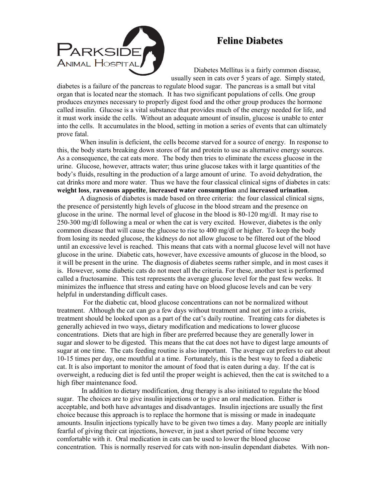

## **Feline Diabetes**

Diabetes Mellitus is a fairly common disease, usually seen in cats over 5 years of age. Simply stated,

diabetes is a failure of the pancreas to regulate blood sugar. The pancreas is a small but vital organ that is located near the stomach. It has two significant populations of cells. One group produces enzymes necessary to properly digest food and the other group produces the hormone called insulin. Glucose is a vital substance that provides much of the energy needed for life, and it must work inside the cells. Without an adequate amount of insulin, glucose is unable to enter into the cells. It accumulates in the blood, setting in motion a series of events that can ultimately prove fatal.

When insulin is deficient, the cells become starved for a source of energy. In response to this, the body starts breaking down stores of fat and protein to use as alternative energy sources. As a consequence, the cat eats more. The body then tries to eliminate the excess glucose in the urine. Glucose, however, attracts water; thus urine glucose takes with it large quantities of the body's fluids, resulting in the production of a large amount of urine. To avoid dehydration, the cat drinks more and more water. Thus we have the four classical clinical signs of diabetes in cats: **weight loss**, **ravenous appetite**, **increased water consumption** and **increased urination**.

A diagnosis of diabetes is made based on three criteria: the four classical clinical signs, the presence of persistently high levels of glucose in the blood stream and the presence on glucose in the urine. The normal level of glucose in the blood is 80-120 mg/dl. It may rise to 250-300 mg/dl following a meal or when the cat is very excited. However, diabetes is the only common disease that will cause the glucose to rise to 400 mg/dl or higher. To keep the body from losing its needed glucose, the kidneys do not allow glucose to be filtered out of the blood until an excessive level is reached. This means that cats with a normal glucose level will not have glucose in the urine. Diabetic cats, however, have excessive amounts of glucose in the blood, so it will be present in the urine. The diagnosis of diabetes seems rather simple, and in most cases it is. However, some diabetic cats do not meet all the criteria. For these, another test is performed called a fructosamine. This test represents the average glucose level for the past few weeks. It minimizes the influence that stress and eating have on blood glucose levels and can be very helpful in understanding difficult cases.

 For the diabetic cat, blood glucose concentrations can not be normalized without treatment. Although the cat can go a few days without treatment and not get into a crisis, treatment should be looked upon as a part of the cat's daily routine. Treating cats for diabetes is generally achieved in two ways, dietary modification and medications to lower glucose concentrations. Diets that are high in fiber are preferred because they are generally lower in sugar and slower to be digested. This means that the cat does not have to digest large amounts of sugar at one time. The cats feeding routine is also important. The average cat prefers to eat about 10-15 times per day, one mouthful at a time. Fortunately, this is the best way to feed a diabetic cat. It is also important to monitor the amount of food that is eaten during a day. If the cat is overweight, a reducing diet is fed until the proper weight is achieved, then the cat is switched to a high fiber maintenance food.

 In addition to dietary modification, drug therapy is also initiated to regulate the blood sugar. The choices are to give insulin injections or to give an oral medication. Either is acceptable, and both have advantages and disadvantages. Insulin injections are usually the first choice because this approach is to replace the hormone that is missing or made in inadequate amounts. Insulin injections typically have to be given two times a day. Many people are initially fearful of giving their cat injections, however, in just a short period of time become very comfortable with it. Oral medication in cats can be used to lower the blood glucose concentration. This is normally reserved for cats with non-insulin dependant diabetes. With non-